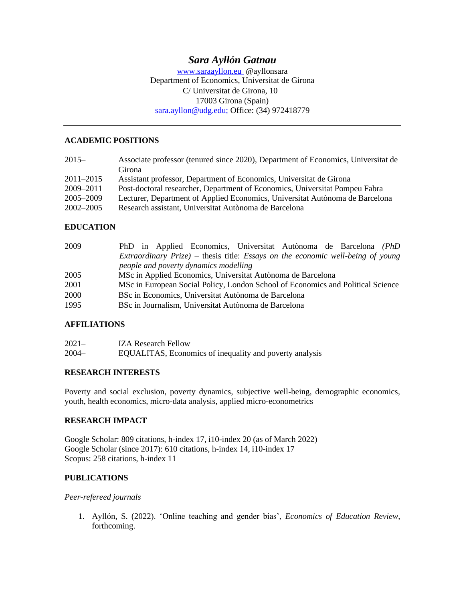# *Sara Ayllón Gatnau*

[www.saraayllon.eu](http://www.saraayllon.eu/) @ayllonsara Department of Economics, Universitat de Girona C/ Universitat de Girona, 10 17003 Girona (Spain) sara.ayllon@udg.edu; Office: (34) 972418779

#### **ACADEMIC POSITIONS**

| Associate professor (tenured since 2020), Department of Economics, Universitat de |
|-----------------------------------------------------------------------------------|
| Girona                                                                            |
| Assistant professor, Department of Economics, Universitat de Girona               |
| Post-doctoral researcher, Department of Economics, Universitat Pompeu Fabra       |
| Lecturer, Department of Applied Economics, Universitat Autònoma de Barcelona      |
| Research assistant, Universitat Autònoma de Barcelona                             |
|                                                                                   |

### **EDUCATION**

| 2009 | PhD in Applied Economics, Universitat Autònoma de Barcelona (PhD                               |
|------|------------------------------------------------------------------------------------------------|
|      | <i>Extraordinary Prize</i> ) – thesis title: <i>Essays on the economic well-being of young</i> |
|      | people and poverty dynamics modelling                                                          |
| 2005 | MSc in Applied Economics, Universitat Autònoma de Barcelona                                    |
| 2001 | MSc in European Social Policy, London School of Economics and Political Science                |
| 2000 | BSc in Economics, Universitat Autònoma de Barcelona                                            |
| 1995 | BSc in Journalism, Universitat Autònoma de Barcelona                                           |

### **AFFILIATIONS**

| $2021 -$ | <b>IZA Research Fellow</b>                              |
|----------|---------------------------------------------------------|
| $2004 -$ | EQUALITAS, Economics of inequality and poverty analysis |

### **RESEARCH INTERESTS**

Poverty and social exclusion, poverty dynamics, subjective well-being, demographic economics, youth, health economics, micro-data analysis, applied micro-econometrics

### **RESEARCH IMPACT**

Google Scholar: 809 citations, h-index 17, i10-index 20 (as of March 2022) Google Scholar (since 2017): 610 citations, h-index 14, i10-index 17 Scopus: 258 citations, h-index 11

### **PUBLICATIONS**

*Peer-refereed journals*

1. Ayllón, S. (2022). 'Online teaching and gender bias', *Economics of Education Review*, forthcoming.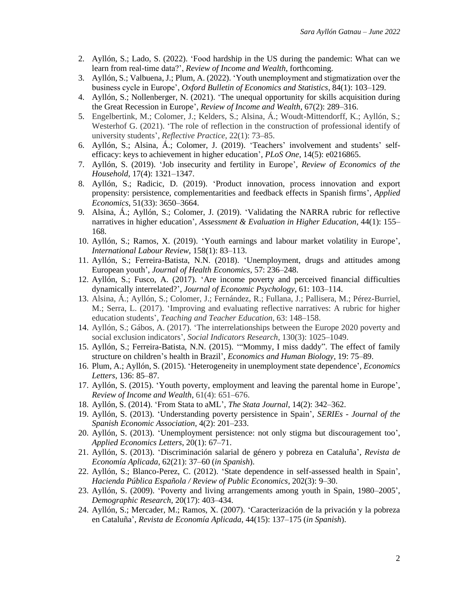- 2. Ayllón, S.; Lado, S. (2022). 'Food hardship in the US during the pandemic: What can we learn from real-time data?', *Review of Income and Wealth*, forthcoming.
- 3. Ayllón, S.; Valbuena, J.; Plum, A. (2022). 'Youth unemployment and stigmatization over the business cycle in Europe', *Oxford Bulletin of Economics and Statistics*, 84(1): 103–129.
- 4. Ayllón, S.; Nollenberger, N. (2021). 'The unequal opportunity for skills acquisition during the Great Recession in Europe', *Review of Income and Wealth*, 67(2): 289–316.
- 5. Engelbertink, M.; Colomer, J.; Kelders, S.; Alsina, Á.; Woudt-Mittendorff, K.; Ayllón, S.; Westerhof G. (2021). 'The role of reflection in the construction of professional identify of university students', *Reflective Practice*, 22(1): 73–85.
- 6. Ayllón, S.; Alsina, Á.; Colomer, J. (2019). 'Teachers' involvement and students' selfefficacy: keys to achievement in higher education', *PLoS One*, 14(5): e0216865.
- 7. Ayllón, S. (2019). 'Job insecurity and fertility in Europe', *Review of Economics of the Household*, 17(4): 1321–1347.
- 8. Ayllón, S.; Radicic, D. (2019). 'Product innovation, process innovation and export propensity: persistence, complementarities and feedback effects in Spanish firms', *Applied Economics*, 51(33): 3650–3664.
- 9. Alsina, Á.; Ayllón, S.; Colomer, J. (2019). 'Validating the NARRA rubric for reflective narratives in higher education', *Assessment & Evaluation in Higher Education*, 44(1): 155– 168.
- 10. Ayllón, S.; Ramos, X. (2019). 'Youth earnings and labour market volatility in Europe', *International Labour Review*, 158(1): 83–113.
- 11. Ayllón, S.; Ferreira-Batista, N.N. (2018). 'Unemployment, drugs and attitudes among European youth', *Journal of Health Economics*, 57: 236–248.
- 12. Ayllón, S.; Fusco, A. (2017). 'Are income poverty and perceived financial difficulties dynamically interrelated?', *Journal of Economic Psychology*, 61: 103–114.
- 13. Alsina, Á.; Ayllón, S.; Colomer, J.; Fernández, R.; Fullana, J.; Pallisera, M.; Pérez-Burriel, M.; Serra, L. (2017). 'Improving and evaluating reflective narratives: A rubric for higher education students', *Teaching and Teacher Education*, 63: 148–158.
- 14. Ayllón, S.; Gábos, A. (2017). 'The interrelationships between the Europe 2020 poverty and social exclusion indicators', *Social Indicators Research*, 130(3): 1025–1049.
- 15. Ayllón, S.; Ferreira-Batista, N.N. (2015). '"Mommy, I miss daddy". The effect of family structure on children's health in Brazil', *Economics and Human Biology*, 19: 75–89.
- 16. Plum, A.; Ayllón, S. (2015). 'Heterogeneity in unemployment state dependence', *Economics Letters*, 136: 85–87.
- 17. Ayllón, S. (2015). 'Youth poverty, employment and leaving the parental home in Europe', *Review of Income and Wealth*, 61(4): 651–676.
- 18. Ayllón, S. (2014). 'From Stata to aML', *The Stata Journal*, 14(2): 342–362.
- 19. Ayllón, S. (2013). 'Understanding poverty persistence in Spain', *SERIEs - Journal of the Spanish Economic Association*, 4(2): 201–233.
- 20. Ayllón, S. (2013). 'Unemployment persistence: not only stigma but discouragement too', *Applied Economics Letters*, 20(1): 67–71.
- 21. Ayllón, S. (2013). 'Discriminación salarial de género y pobreza en Cataluña', *Revista de Economía Aplicada*, 62(21): 37–60 (*in Spanish*).
- 22. Ayllón, S.; Blanco-Perez, C. (2012). 'State dependence in self-assessed health in Spain', *Hacienda Pública Española / Review of Public Economics*, 202(3): 9–30.
- 23. Ayllón, S. (2009). 'Poverty and living arrangements among youth in Spain, 1980–2005', *Demographic Research*, 20(17): 403–434.
- 24. Ayllón, S.; Mercader, M.; Ramos, X. (2007). 'Caracterización de la privación y la pobreza en Cataluña', *Revista de Economía Aplicada*, 44(15): 137–175 (*in Spanish*).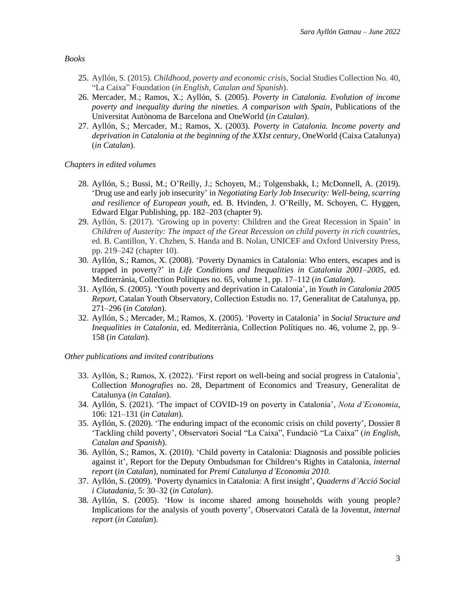*Books*

- 25. Ayllón, S. (2015). *Childhood, poverty and economic crisis*, Social Studies Collection No. 40, "La Caixa" Foundation (*in English, Catalan and Spanish*).
- 26. Mercader, M.; Ramos, X.; Ayllón, S. (2005). *Poverty in Catalonia. Evolution of income poverty and inequality during the nineties. A comparison with Spain*, Publications of the Universitat Autònoma de Barcelona and OneWorld (*in Catalan*).
- 27. Ayllón, S.; Mercader, M.; Ramos, X. (2003). *Poverty in Catalonia. Income poverty and deprivation in Catalonia at the beginning of the XXIst century*, OneWorld (Caixa Catalunya) (*in Catalan*).

*Chapters in edited volumes*

- 28. Ayllón, S.; Bussi, M.; O'Reilly, J.; Schoyen, M.; Tolgensbakk, I.; McDonnell, A. (2019). 'Drug use and early job insecurity' in *Negotiating Early Job Insecurity: Well-being, scarring and resilience of European youth*, ed. B. Hvinden, J. O'Reilly, M. Schoyen, C. Hyggen, Edward Elgar Publishing, pp. 182–203 (chapter 9).
- 29. Ayllón, S. (2017). 'Growing up in poverty: Children and the Great Recession in Spain' in *Children of Austerity: The impact of the Great Recession on child poverty in rich countries*, ed. B. Cantillon, Y. Chzhen, S. Handa and B. Nolan, UNICEF and Oxford University Press, pp. 219–242 (chapter 10).
- 30. Ayllón, S.; Ramos, X. (2008). 'Poverty Dynamics in Catalonia: Who enters, escapes and is trapped in poverty?' in *Life Conditions and Inequalities in Catalonia 2001–2005*, ed. Mediterrània, Collection Polítiques no. 65, volume 1, pp. 17–112 (*in Catalan*).
- 31. Ayllón, S. (2005). 'Youth poverty and deprivation in Catalonia', in *Youth in Catalonia 2005 Report*, Catalan Youth Observatory, Collection Estudis no. 17, Generalitat de Catalunya, pp. 271–296 (*in Catalan*).
- 32. Ayllón, S.; Mercader, M.; Ramos, X. (2005). 'Poverty in Catalonia' in *Social Structure and Inequalities in Catalonia*, ed. Mediterrània, Collection Polítiques no. 46, volume 2, pp. 9– 158 (*in Catalan*).

*Other publications and invited contributions*

- 33. Ayllón, S.; Ramos, X. (2022). 'First report on well-being and social progress in Catalonia', Collection *Monografies* no. 28, Department of Economics and Treasury, Generalitat de Catalunya (*in Catalan*).
- 34. Ayllón, S. (2021). 'The impact of COVID-19 on poverty in Catalonia', *Nota d'Economia*, 106: 121–131 (*in Catalan*).
- 35. Ayllón, S. (2020). 'The enduring impact of the economic crisis on child poverty', Dossier 8 'Tackling child poverty', Observatori Social "La Caixa", Fundació "La Caixa" (*in English, Catalan and Spanish*).
- 36. Ayllón, S.; Ramos, X. (2010). 'Child poverty in Catalonia: Diagnosis and possible policies against it', Report for the Deputy Ombudsman for Children's Rights in Catalonia, *internal report* (*in Catalan*), nominated for *Premi Catalunya d'Economia 2010.*
- 37. Ayllón, S. (2009). 'Poverty dynamics in Catalonia: A first insight', *Quaderns d'Acció Social i Ciutadania*, 5: 30–32 (*in Catalan*).
- 38. Ayllón, S. (2005). 'How is income shared among households with young people? Implications for the analysis of youth poverty', Observatori Català de la Joventut, *internal report* (*in Catalan*).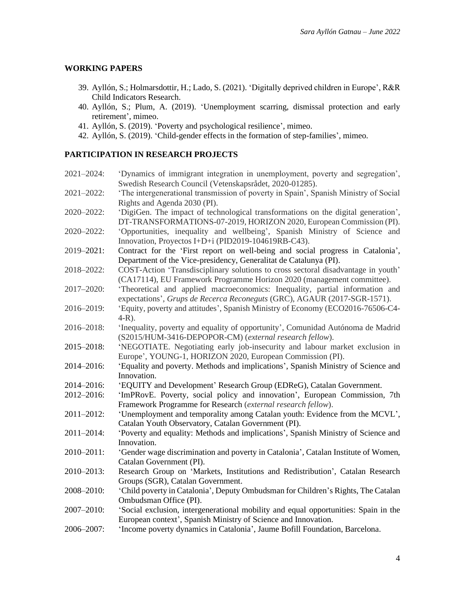### **WORKING PAPERS**

- 39. Ayllón, S.; Holmarsdottir, H.; Lado, S. (2021). 'Digitally deprived children in Europe', R&R Child Indicators Research.
- 40. Ayllón, S.; Plum, A. (2019). 'Unemployment scarring, dismissal protection and early retirement', mimeo.
- 41. Ayllón, S. (2019). 'Poverty and psychological resilience', mimeo.
- 42. Ayllón, S. (2019). 'Child-gender effects in the formation of step-families', mimeo.

### **PARTICIPATION IN RESEARCH PROJECTS**

| 2021-2024: | 'Dynamics of immigrant integration in unemployment, poverty and segregation',                                        |
|------------|----------------------------------------------------------------------------------------------------------------------|
|            | Swedish Research Council (Vetenskapsrådet, 2020-01285).                                                              |
| 2021-2022: | 'The intergenerational transmission of poverty in Spain', Spanish Ministry of Social<br>Rights and Agenda 2030 (PI). |
| 2020-2022: | 'DigiGen. The impact of technological transformations on the digital generation',                                    |
|            | DT-TRANSFORMATIONS-07-2019, HORIZON 2020, European Commission (PI).                                                  |
| 2020-2022: | 'Opportunities, inequality and wellbeing', Spanish Ministry of Science and                                           |
|            | Innovation, Proyectos I+D+i (PID2019-104619RB-C43).                                                                  |
| 2019-2021: | Contract for the 'First report on well-being and social progress in Catalonia',                                      |
|            | Department of the Vice-presidency, Generalitat de Catalunya (PI).                                                    |
| 2018-2022: | COST-Action 'Transdisciplinary solutions to cross sectoral disadvantage in youth'                                    |
|            | (CA17114), EU Framework Programme Horizon 2020 (management committee).                                               |
| 2017-2020: | 'Theoretical and applied macroeconomics: Inequality, partial information and                                         |
|            | expectations', Grups de Recerca Reconeguts (GRC), AGAUR (2017-SGR-1571).                                             |
| 2016-2019: | 'Equity, poverty and attitudes', Spanish Ministry of Economy (ECO2016-76506-C4-                                      |
|            | $4-R$ ).                                                                                                             |
| 2016-2018: | 'Inequality, poverty and equality of opportunity', Comunidad Autónoma de Madrid                                      |
|            | (S2015/HUM-3416-DEPOPOR-CM) (external research fellow).                                                              |
| 2015-2018: | 'NEGOTIATE. Negotiating early job-insecurity and labour market exclusion in                                          |
|            | Europe', YOUNG-1, HORIZON 2020, European Commission (PI).                                                            |
| 2014-2016: | 'Equality and poverty. Methods and implications', Spanish Ministry of Science and                                    |
|            | Innovation.                                                                                                          |
| 2014-2016: | 'EQUITY and Development' Research Group (EDReG), Catalan Government.                                                 |
| 2012-2016: | 'ImPRovE. Poverty, social policy and innovation', European Commission, 7th                                           |
|            | Framework Programme for Research (external research fellow).                                                         |
| 2011-2012: | 'Unemployment and temporality among Catalan youth: Evidence from the MCVL',                                          |
|            | Catalan Youth Observatory, Catalan Government (PI).                                                                  |
| 2011-2014: | 'Poverty and equality: Methods and implications', Spanish Ministry of Science and                                    |
|            | Innovation.                                                                                                          |
| 2010-2011: | 'Gender wage discrimination and poverty in Catalonia', Catalan Institute of Women,                                   |
|            | Catalan Government (PI).                                                                                             |
|            |                                                                                                                      |
| 2010-2013: | Research Group on 'Markets, Institutions and Redistribution', Catalan Research                                       |
|            | Groups (SGR), Catalan Government.                                                                                    |
| 2008-2010: | 'Child poverty in Catalonia', Deputy Ombudsman for Children's Rights, The Catalan                                    |
|            | Ombudsman Office (PI).                                                                                               |
| 2007-2010: | 'Social exclusion, intergenerational mobility and equal opportunities: Spain in the                                  |
|            | European context', Spanish Ministry of Science and Innovation.                                                       |
| 2006-2007: | 'Income poverty dynamics in Catalonia', Jaume Bofill Foundation, Barcelona.                                          |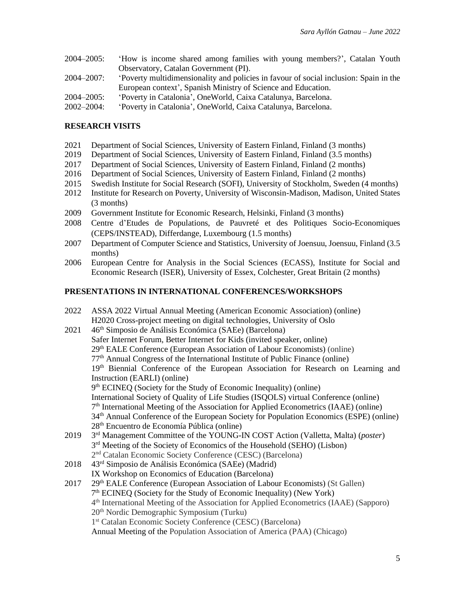| $2004 - 2005$ : | 'How is income shared among families with young members?', Catalan Youth             |
|-----------------|--------------------------------------------------------------------------------------|
|                 | Observatory, Catalan Government (PI).                                                |
| 2004–2007:      | Poverty multidimensionality and policies in favour of social inclusion: Spain in the |
|                 | European context', Spanish Ministry of Science and Education.                        |

- 2004–2005: 'Poverty in Catalonia', OneWorld, Caixa Catalunya, Barcelona.
- 2002–2004: 'Poverty in Catalonia', OneWorld, Caixa Catalunya, Barcelona.

#### **RESEARCH VISITS**

- 2021 Department of Social Sciences, University of Eastern Finland, Finland (3 months)
- 2019 Department of Social Sciences, University of Eastern Finland, Finland (3.5 months)
- 2017 Department of Social Sciences, University of Eastern Finland, Finland (2 months)
- 2016 Department of Social Sciences, University of Eastern Finland, Finland (2 months)
- 2015 Swedish Institute for Social Research (SOFI), University of Stockholm, Sweden (4 months)
- 2012 Institute for Research on Poverty, University of Wisconsin-Madison, Madison, United States (3 months)
- 2009 Government Institute for Economic Research, Helsinki, Finland (3 months)
- 2008 Centre d'Etudes de Populations, de Pauvreté et des Politiques Socio-Economiques (CEPS/INSTEAD), Differdange, Luxembourg (1.5 months)
- 2007 Department of Computer Science and Statistics, University of Joensuu, Joensuu, Finland (3.5 months)
- 2006 European Centre for Analysis in the Social Sciences (ECASS), Institute for Social and Economic Research (ISER), University of Essex, Colchester, Great Britain (2 months)

#### **PRESENTATIONS IN INTERNATIONAL CONFERENCES/WORKSHOPS**

- 2022 ASSA 2022 Virtual Annual Meeting (American Economic Association) (online) H2020 Cross-project meeting on digital technologies, University of Oslo 2021 46th Simposio de Análisis Económica (SAEe) (Barcelona)
- Safer Internet Forum, Better Internet for Kids (invited speaker, online) 29th EALE Conference (European Association of Labour Economists) (online)  $77<sup>th</sup>$  Annual Congress of the International Institute of Public Finance (online) 19<sup>th</sup> Biennial Conference of the European Association for Research on Learning and Instruction (EARLI) (online) 9<sup>th</sup> ECINEQ (Society for the Study of Economic Inequality) (online) International Society of Quality of Life Studies (ISQOLS) virtual Conference (online) 7<sup>th</sup> International Meeting of the Association for Applied Econometrics (IAAE) (online) 34th Annual Conference of the European Society for Population Economics (ESPE) (online) 28th Encuentro de Economía Pública (online) 2019 rd Management Committee of the YOUNG-IN COST Action (Valletta, Malta) (*poster*) 3<sup>rd</sup> Meeting of the Society of Economics of the Household (SEHO) (Lisbon) 2 nd Catalan Economic Society Conference (CESC) (Barcelona) 2018 43rd Simposio de Análisis Económica (SAEe) (Madrid)
- IX Workshop on Economics of Education (Barcelona)
- 2017 29th EALE Conference (European Association of Labour Economists) (St Gallen) 7<sup>th</sup> ECINEQ (Society for the Study of Economic Inequality) (New York) 4 th International Meeting of the Association for Applied Econometrics (IAAE) (Sapporo) 20th Nordic Demographic Symposium (Turku) 1 st Catalan Economic Society Conference (CESC) (Barcelona) Annual Meeting of the Population Association of America (PAA) (Chicago)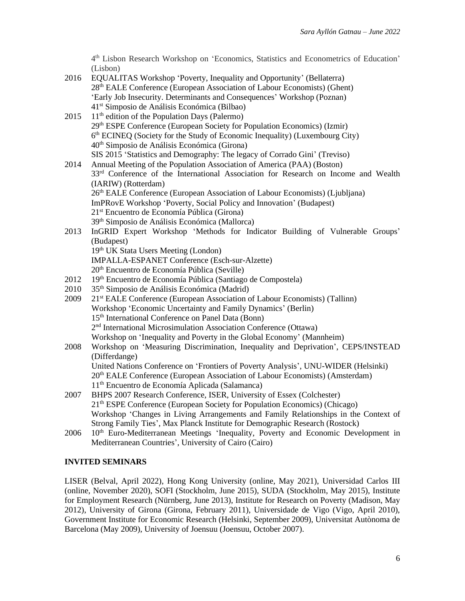4 th Lisbon Research Workshop on 'Economics, Statistics and Econometrics of Education' (Lisbon)

- 2016 EQUALITAS Workshop 'Poverty, Inequality and Opportunity' (Bellaterra) 28th EALE Conference (European Association of Labour Economists) (Ghent) 'Early Job Insecurity. Determinants and Consequences' Workshop (Poznan) 41 st Simposio de Análisis Económica (Bilbao)
- 2015  $11<sup>th</sup>$  edition of the Population Days (Palermo) 29th ESPE Conference (European Society for Population Economics) (Izmir) 6 th ECINEQ (Society for the Study of Economic Inequality) (Luxembourg City) 40 th Simposio de Análisis Económica (Girona) SIS 2015 'Statistics and Demography: The legacy of Corrado Gini' (Treviso)
- 2014 Annual Meeting of the Population Association of America (PAA) (Boston) 3<sup>3rd</sup> Conference of the International Association for Research on Income and Wealth (IARIW) (Rotterdam) 26th EALE Conference (European Association of Labour Economists) (Ljubljana) ImPRovE Workshop 'Poverty, Social Policy and Innovation' (Budapest) 21st Encuentro de Economía Pública (Girona) 39th Simposio de Análisis Económica (Mallorca)
- 2013 InGRID Expert Workshop 'Methods for Indicator Building of Vulnerable Groups' (Budapest) 19<sup>th</sup> UK Stata Users Meeting (London)
	- IMPALLA-ESPANET Conference (Esch-sur-Alzette)
	- 20th Encuentro de Economía Pública (Seville)
- 2012 19th Encuentro de Economía Pública (Santiago de Compostela)
- 2010 35<sup>th</sup> Simposio de Análisis Económica (Madrid)
- 2009 21st EALE Conference (European Association of Labour Economists) (Tallinn) Workshop 'Economic Uncertainty and Family Dynamics' (Berlin) 15<sup>th</sup> International Conference on Panel Data (Bonn) 2 nd International Microsimulation Association Conference (Ottawa) Workshop on 'Inequality and Poverty in the Global Economy' (Mannheim)
- 2008 Workshop on 'Measuring Discrimination, Inequality and Deprivation', CEPS/INSTEAD (Differdange) United Nations Conference on 'Frontiers of Poverty Analysis', UNU-WIDER (Helsinki) 20th EALE Conference (European Association of Labour Economists) (Amsterdam) 11th Encuentro de Economía Aplicada (Salamanca)
- 2007 BHPS 2007 Research Conference, ISER, University of Essex (Colchester) 21th ESPE Conference (European Society for Population Economics) (Chicago) Workshop 'Changes in Living Arrangements and Family Relationships in the Context of Strong Family Ties', Max Planck Institute for Demographic Research (Rostock)
- $2006$  10<sup>th</sup> Euro-Mediterranean Meetings 'Inequality, Poverty and Economic Development in Mediterranean Countries', University of Cairo (Cairo)

### **INVITED SEMINARS**

LISER (Belval, April 2022), Hong Kong University (online, May 2021), Universidad Carlos III (online, November 2020), SOFI (Stockholm, June 2015), SUDA (Stockholm, May 2015), Institute for Employment Research (Nürnberg, June 2013), Institute for Research on Poverty (Madison, May 2012), University of Girona (Girona, February 2011), Universidade de Vigo (Vigo, April 2010), Government Institute for Economic Research (Helsinki, September 2009), Universitat Autònoma de Barcelona (May 2009), University of Joensuu (Joensuu, October 2007).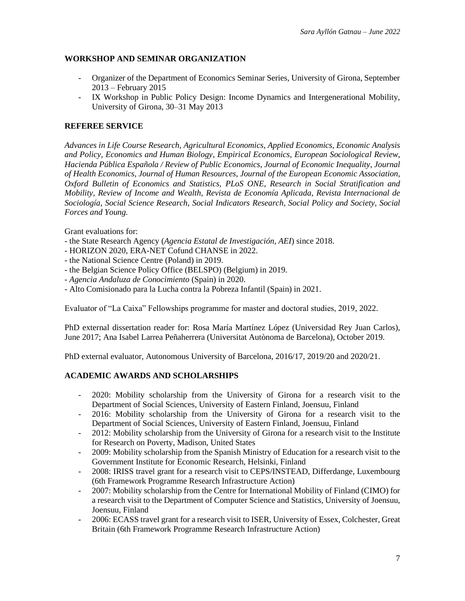# **WORKSHOP AND SEMINAR ORGANIZATION**

- Organizer of the Department of Economics Seminar Series, University of Girona, September 2013 – February 2015
- IX Workshop in Public Policy Design: Income Dynamics and Intergenerational Mobility, University of Girona, 30–31 May 2013

### **REFEREE SERVICE**

*Advances in Life Course Research, Agricultural Economics*, *Applied Economics*, *Economic Analysis and Policy*, *Economics and Human Biology*, *Empirical Economics, European Sociological Review*, *Hacienda Pública Española / Review of Public Economics*, *Journal of Economic Inequality*, *Journal of Health Economics*, *Journal of Human Resources, Journal of the European Economic Association*, *Oxford Bulletin of Economics and Statistics, PLoS ONE*, *Research in Social Stratification and Mobility*, *Review of Income and Wealth*, *Revista de Economía Aplicada*, *Revista Internacional de Sociología*, *Social Science Research, Social Indicators Research*, *Social Policy and Society, Social Forces and Young.*

Grant evaluations for:

- the State Research Agency (*Agencia Estatal de Investigación, AEI*) since 2018.
- HORIZON 2020, ERA-NET Cofund CHANSE in 2022.
- the National Science Centre (Poland) in 2019.
- the Belgian Science Policy Office (BELSPO) (Belgium) in 2019.
- *Agencia Andaluza de Conocimiento* (Spain) in 2020.
- Alto Comisionado para la Lucha contra la Pobreza Infantil (Spain) in 2021.

Evaluator of "La Caixa" Fellowships programme for master and doctoral studies, 2019, 2022.

PhD external dissertation reader for: Rosa María Martínez López (Universidad Rey Juan Carlos), June 2017; Ana Isabel Larrea Peñaherrera (Universitat Autònoma de Barcelona), October 2019.

PhD external evaluator, Autonomous University of Barcelona, 2016/17, 2019/20 and 2020/21.

### **ACADEMIC AWARDS AND SCHOLARSHIPS**

- 2020: Mobility scholarship from the University of Girona for a research visit to the Department of Social Sciences, University of Eastern Finland, Joensuu, Finland
- 2016: Mobility scholarship from the University of Girona for a research visit to the Department of Social Sciences, University of Eastern Finland, Joensuu, Finland
- 2012: Mobility scholarship from the University of Girona for a research visit to the Institute for Research on Poverty, Madison, United States
- 2009: Mobility scholarship from the Spanish Ministry of Education for a research visit to the Government Institute for Economic Research, Helsinki, Finland
- 2008: IRISS travel grant for a research visit to CEPS/INSTEAD, Differdange, Luxembourg (6th Framework Programme Research Infrastructure Action)
- 2007: Mobility scholarship from the Centre for International Mobility of Finland (CIMO) for a research visit to the Department of Computer Science and Statistics, University of Joensuu, Joensuu, Finland
- 2006: ECASS travel grant for a research visit to ISER, University of Essex, Colchester, Great Britain (6th Framework Programme Research Infrastructure Action)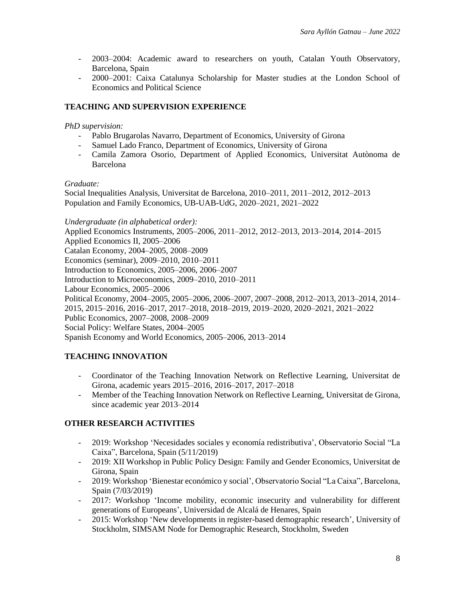- 2003–2004: Academic award to researchers on youth, Catalan Youth Observatory, Barcelona, Spain
- 2000–2001: Caixa Catalunya Scholarship for Master studies at the London School of Economics and Political Science

# **TEACHING AND SUPERVISION EXPERIENCE**

### *PhD supervision:*

- Pablo Brugarolas Navarro, Department of Economics, University of Girona
- Samuel Lado Franco, Department of Economics, University of Girona
- Camila Zamora Osorio, Department of Applied Economics, Universitat Autònoma de Barcelona

### *Graduate:*

Social Inequalities Analysis, Universitat de Barcelona, 2010–2011, 2011–2012, 2012–2013 Population and Family Economics, UB-UAB-UdG, 2020–2021, 2021–2022

### *Undergraduate (in alphabetical order):*

Applied Economics Instruments, 2005–2006, 2011–2012, 2012–2013, 2013–2014, 2014–2015 Applied Economics II, 2005–2006 Catalan Economy, 2004–2005, 2008–2009 Economics (seminar), 2009–2010, 2010–2011 Introduction to Economics, 2005–2006, 2006–2007 Introduction to Microeconomics, 2009–2010, 2010–2011 Labour Economics, 2005–2006 Political Economy, 2004–2005, 2005–2006, 2006–2007, 2007–2008, 2012–2013, 2013–2014, 2014– 2015, 2015–2016, 2016–2017, 2017–2018, 2018–2019, 2019–2020, 2020–2021, 2021–2022 Public Economics, 2007–2008, 2008–2009 Social Policy: Welfare States, 2004–2005 Spanish Economy and World Economics, 2005–2006, 2013–2014

### **TEACHING INNOVATION**

- Coordinator of the Teaching Innovation Network on Reflective Learning, Universitat de Girona, academic years 2015–2016, 2016–2017, 2017–2018
- Member of the Teaching Innovation Network on Reflective Learning, Universitat de Girona, since academic year 2013–2014

### **OTHER RESEARCH ACTIVITIES**

- 2019: Workshop 'Necesidades sociales y economía redistributiva', Observatorio Social "La Caixa", Barcelona, Spain (5/11/2019)
- 2019: XII Workshop in Public Policy Design: Family and Gender Economics, Universitat de Girona, Spain
- 2019: Workshop 'Bienestar económico y social', Observatorio Social "La Caixa", Barcelona, Spain (7/03/2019)
- 2017: Workshop 'Income mobility, economic insecurity and vulnerability for different generations of Europeans', Universidad de Alcalá de Henares, Spain
- 2015: Workshop 'New developments in register-based demographic research', University of Stockholm, SIMSAM Node for Demographic Research, Stockholm, Sweden